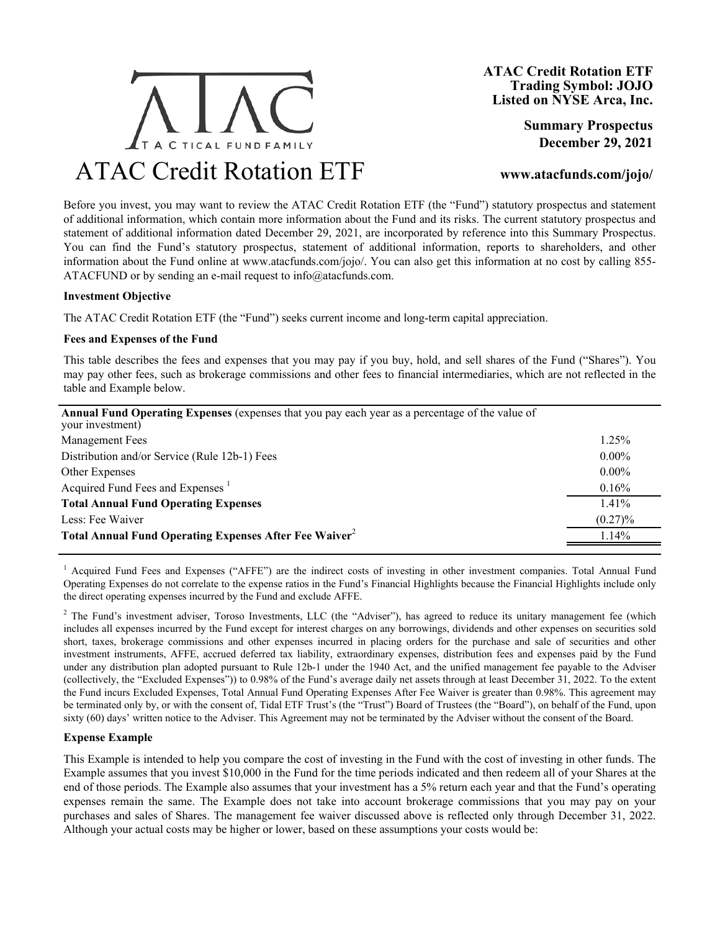

**Summary Prospectus December 29, 2021**

# **www.atacfunds.com/jojo/**

Before you invest, you may want to review the ATAC Credit Rotation ETF (the "Fund") statutory prospectus and statement of additional information, which contain more information about the Fund and its risks. The current statutory prospectus and statement of additional information dated December 29, 2021, are incorporated by reference into this Summary Prospectus. You can find the Fund's statutory prospectus, statement of additional information, reports to shareholders, and other information about the Fund online at www.atacfunds.com/jojo/. You can also get this information at no cost by calling 855- ATACFUND or by sending an e-mail request to  $info@atacfunds.com$ .

## **Investment Objective**

The ATAC Credit Rotation ETF (the "Fund") seeks current income and long-term capital appreciation.

#### **Fees and Expenses of the Fund**

This table describes the fees and expenses that you may pay if you buy, hold, and sell shares of the Fund ("Shares"). You may pay other fees, such as brokerage commissions and other fees to financial intermediaries, which are not reflected in the table and Example below.

| <b>Annual Fund Operating Expenses</b> (expenses that you pay each year as a percentage of the value of<br>your investment) |            |
|----------------------------------------------------------------------------------------------------------------------------|------------|
| <b>Management Fees</b>                                                                                                     | 1.25%      |
| Distribution and/or Service (Rule 12b-1) Fees                                                                              | $0.00\%$   |
| Other Expenses                                                                                                             | $0.00\%$   |
| Acquired Fund Fees and Expenses <sup>1</sup>                                                                               | 0.16%      |
| <b>Total Annual Fund Operating Expenses</b>                                                                                | $1.41\%$   |
| Less: Fee Waiver                                                                                                           | $(0.27)\%$ |
| Total Annual Fund Operating Expenses After Fee Waiver <sup>2</sup>                                                         | 1.14%      |
|                                                                                                                            |            |

<sup>1</sup> Acquired Fund Fees and Expenses ("AFFE") are the indirect costs of investing in other investment companies. Total Annual Fund Operating Expenses do not correlate to the expense ratios in the Fund's Financial Highlights because the Financial Highlights include only the direct operating expenses incurred by the Fund and exclude AFFE.

<sup>2</sup> The Fund's investment adviser, Toroso Investments, LLC (the "Adviser"), has agreed to reduce its unitary management fee (which includes all expenses incurred by the Fund except for interest charges on any borrowings, dividends and other expenses on securities sold short, taxes, brokerage commissions and other expenses incurred in placing orders for the purchase and sale of securities and other investment instruments, AFFE, accrued deferred tax liability, extraordinary expenses, distribution fees and expenses paid by the Fund under any distribution plan adopted pursuant to Rule 12b-1 under the 1940 Act, and the unified management fee payable to the Adviser (collectively, the "Excluded Expenses")) to 0.98% of the Fund's average daily net assets through at least December 31, 2022. To the extent the Fund incurs Excluded Expenses, Total Annual Fund Operating Expenses After Fee Waiver is greater than 0.98%. This agreement may be terminated only by, or with the consent of, Tidal ETF Trust's (the "Trust") Board of Trustees (the "Board"), on behalf of the Fund, upon sixty (60) days' written notice to the Adviser. This Agreement may not be terminated by the Adviser without the consent of the Board.

## **Expense Example**

This Example is intended to help you compare the cost of investing in the Fund with the cost of investing in other funds. The Example assumes that you invest \$10,000 in the Fund for the time periods indicated and then redeem all of your Shares at the end of those periods. The Example also assumes that your investment has a 5% return each year and that the Fund's operating expenses remain the same. The Example does not take into account brokerage commissions that you may pay on your purchases and sales of Shares. The management fee waiver discussed above is reflected only through December 31, 2022. Although your actual costs may be higher or lower, based on these assumptions your costs would be: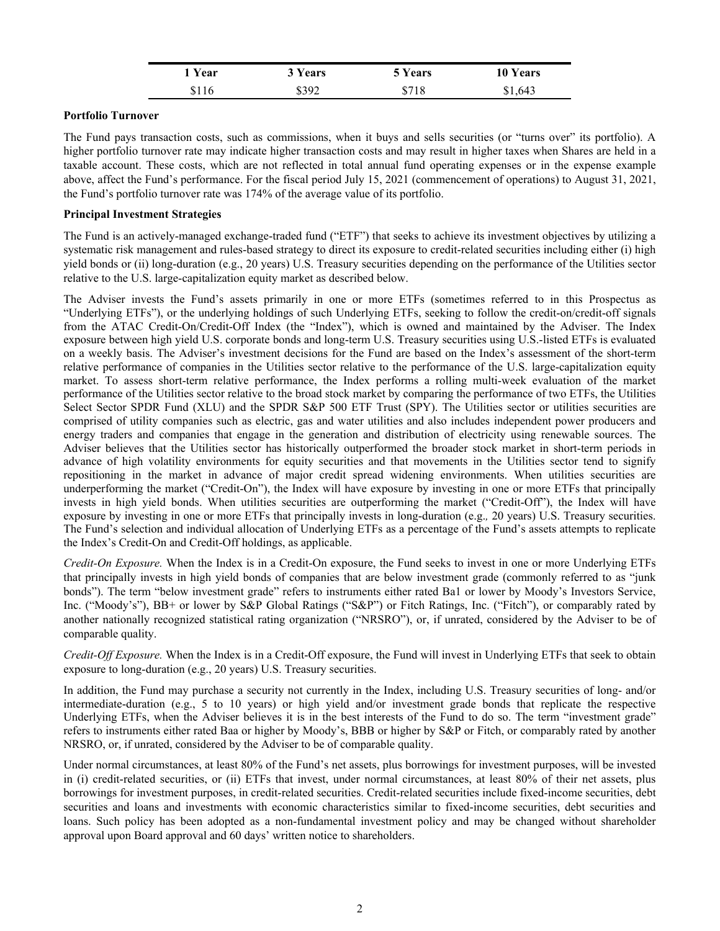| ' Year | 3 Years | 5 Years | <b>10 Years</b> |
|--------|---------|---------|-----------------|
| \$116  | \$392   | \$718   | \$1,643         |

## **Portfolio Turnover**

The Fund pays transaction costs, such as commissions, when it buys and sells securities (or "turns over" its portfolio). A higher portfolio turnover rate may indicate higher transaction costs and may result in higher taxes when Shares are held in a taxable account. These costs, which are not reflected in total annual fund operating expenses or in the expense example above, affect the Fund's performance. For the fiscal period July 15, 2021 (commencement of operations) to August 31, 2021, the Fund's portfolio turnover rate was 174% of the average value of its portfolio.

## **Principal Investment Strategies**

The Fund is an actively-managed exchange-traded fund ("ETF") that seeks to achieve its investment objectives by utilizing a systematic risk management and rules-based strategy to direct its exposure to credit-related securities including either (i) high yield bonds or (ii) long-duration (e.g., 20 years) U.S. Treasury securities depending on the performance of the Utilities sector relative to the U.S. large-capitalization equity market as described below.

The Adviser invests the Fund's assets primarily in one or more ETFs (sometimes referred to in this Prospectus as "Underlying ETFs"), or the underlying holdings of such Underlying ETFs, seeking to follow the credit-on/credit-off signals from the ATAC Credit-On/Credit-Off Index (the "Index"), which is owned and maintained by the Adviser. The Index exposure between high yield U.S. corporate bonds and long-term U.S. Treasury securities using U.S.-listed ETFs is evaluated on a weekly basis. The Adviser's investment decisions for the Fund are based on the Index's assessment of the short-term relative performance of companies in the Utilities sector relative to the performance of the U.S. large-capitalization equity market. To assess short-term relative performance, the Index performs a rolling multi-week evaluation of the market performance of the Utilities sector relative to the broad stock market by comparing the performance of two ETFs, the Utilities Select Sector SPDR Fund (XLU) and the SPDR S&P 500 ETF Trust (SPY). The Utilities sector or utilities securities are comprised of utility companies such as electric, gas and water utilities and also includes independent power producers and energy traders and companies that engage in the generation and distribution of electricity using renewable sources. The Adviser believes that the Utilities sector has historically outperformed the broader stock market in short-term periods in advance of high volatility environments for equity securities and that movements in the Utilities sector tend to signify repositioning in the market in advance of major credit spread widening environments. When utilities securities are underperforming the market ("Credit-On"), the Index will have exposure by investing in one or more ETFs that principally invests in high yield bonds. When utilities securities are outperforming the market ("Credit-Off"), the Index will have exposure by investing in one or more ETFs that principally invests in long-duration (e.g.*,* 20 years) U.S. Treasury securities. The Fund's selection and individual allocation of Underlying ETFs as a percentage of the Fund's assets attempts to replicate the Index's Credit-On and Credit-Off holdings, as applicable.

*Credit-On Exposure.* When the Index is in a Credit-On exposure, the Fund seeks to invest in one or more Underlying ETFs that principally invests in high yield bonds of companies that are below investment grade (commonly referred to as "junk bonds"). The term "below investment grade" refers to instruments either rated Ba1 or lower by Moody's Investors Service, Inc. ("Moody's"), BB+ or lower by S&P Global Ratings ("S&P") or Fitch Ratings, Inc. ("Fitch"), or comparably rated by another nationally recognized statistical rating organization ("NRSRO"), or, if unrated, considered by the Adviser to be of comparable quality.

*Credit-Off Exposure.* When the Index is in a Credit-Off exposure, the Fund will invest in Underlying ETFs that seek to obtain exposure to long-duration (e.g., 20 years) U.S. Treasury securities.

In addition, the Fund may purchase a security not currently in the Index, including U.S. Treasury securities of long- and/or intermediate-duration (e.g., 5 to 10 years) or high yield and/or investment grade bonds that replicate the respective Underlying ETFs, when the Adviser believes it is in the best interests of the Fund to do so. The term "investment grade" refers to instruments either rated Baa or higher by Moody's, BBB or higher by S&P or Fitch, or comparably rated by another NRSRO, or, if unrated, considered by the Adviser to be of comparable quality.

Under normal circumstances, at least 80% of the Fund's net assets, plus borrowings for investment purposes, will be invested in (i) credit-related securities, or (ii) ETFs that invest, under normal circumstances, at least 80% of their net assets, plus borrowings for investment purposes, in credit-related securities. Credit-related securities include fixed-income securities, debt securities and loans and investments with economic characteristics similar to fixed-income securities, debt securities and loans. Such policy has been adopted as a non-fundamental investment policy and may be changed without shareholder approval upon Board approval and 60 days' written notice to shareholders.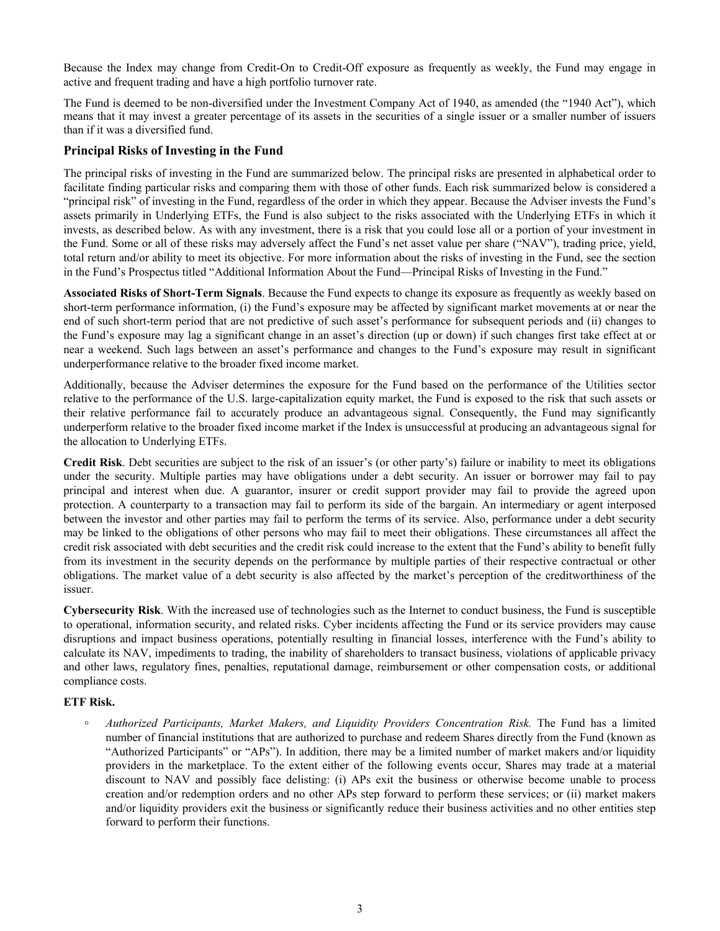Because the Index may change from Credit-On to Credit-Off exposure as frequently as weekly, the Fund may engage in active and frequent trading and have a high portfolio turnover rate.

The Fund is deemed to be non-diversified under the Investment Company Act of 1940, as amended (the "1940 Act"), which means that it may invest a greater percentage of its assets in the securities of a single issuer or a smaller number of issuers than if it was a diversified fund.

# **Principal Risks of Investing in the Fund**

The principal risks of investing in the Fund are summarized below. The principal risks are presented in alphabetical order to facilitate finding particular risks and comparing them with those of other funds. Each risk summarized below is considered a "principal risk" of investing in the Fund, regardless of the order in which they appear. Because the Adviser invests the Fund's assets primarily in Underlying ETFs, the Fund is also subject to the risks associated with the Underlying ETFs in which it invests, as described below. As with any investment, there is a risk that you could lose all or a portion of your investment in the Fund. Some or all of these risks may adversely affect the Fund's net asset value per share ("NAV"), trading price, yield, total return and/or ability to meet its objective. For more information about the risks of investing in the Fund, see the section in the Fund's Prospectus titled "Additional Information About the Fund—Principal Risks of Investing in the Fund."

**Associated Risks of Short-Term Signals**. Because the Fund expects to change its exposure as frequently as weekly based on short-term performance information, (i) the Fund's exposure may be affected by significant market movements at or near the end of such short-term period that are not predictive of such asset's performance for subsequent periods and (ii) changes to the Fund's exposure may lag a significant change in an asset's direction (up or down) if such changes first take effect at or near a weekend. Such lags between an asset's performance and changes to the Fund's exposure may result in significant underperformance relative to the broader fixed income market.

Additionally, because the Adviser determines the exposure for the Fund based on the performance of the Utilities sector relative to the performance of the U.S. large-capitalization equity market, the Fund is exposed to the risk that such assets or their relative performance fail to accurately produce an advantageous signal. Consequently, the Fund may significantly underperform relative to the broader fixed income market if the Index is unsuccessful at producing an advantageous signal for the allocation to Underlying ETFs.

**Credit Risk**. Debt securities are subject to the risk of an issuer's (or other party's) failure or inability to meet its obligations under the security. Multiple parties may have obligations under a debt security. An issuer or borrower may fail to pay principal and interest when due. A guarantor, insurer or credit support provider may fail to provide the agreed upon protection. A counterparty to a transaction may fail to perform its side of the bargain. An intermediary or agent interposed between the investor and other parties may fail to perform the terms of its service. Also, performance under a debt security may be linked to the obligations of other persons who may fail to meet their obligations. These circumstances all affect the credit risk associated with debt securities and the credit risk could increase to the extent that the Fund's ability to benefit fully from its investment in the security depends on the performance by multiple parties of their respective contractual or other obligations. The market value of a debt security is also affected by the market's perception of the creditworthiness of the issuer.

**Cybersecurity Risk**. With the increased use of technologies such as the Internet to conduct business, the Fund is susceptible to operational, information security, and related risks. Cyber incidents affecting the Fund or its service providers may cause disruptions and impact business operations, potentially resulting in financial losses, interference with the Fund's ability to calculate its NAV, impediments to trading, the inability of shareholders to transact business, violations of applicable privacy and other laws, regulatory fines, penalties, reputational damage, reimbursement or other compensation costs, or additional compliance costs.

## **ETF Risk.**

*◦ Authorized Participants, Market Makers, and Liquidity Providers Concentration Risk.* The Fund has a limited number of financial institutions that are authorized to purchase and redeem Shares directly from the Fund (known as "Authorized Participants" or "APs"). In addition, there may be a limited number of market makers and/or liquidity providers in the marketplace. To the extent either of the following events occur, Shares may trade at a material discount to NAV and possibly face delisting: (i) APs exit the business or otherwise become unable to process creation and/or redemption orders and no other APs step forward to perform these services; or (ii) market makers and/or liquidity providers exit the business or significantly reduce their business activities and no other entities step forward to perform their functions.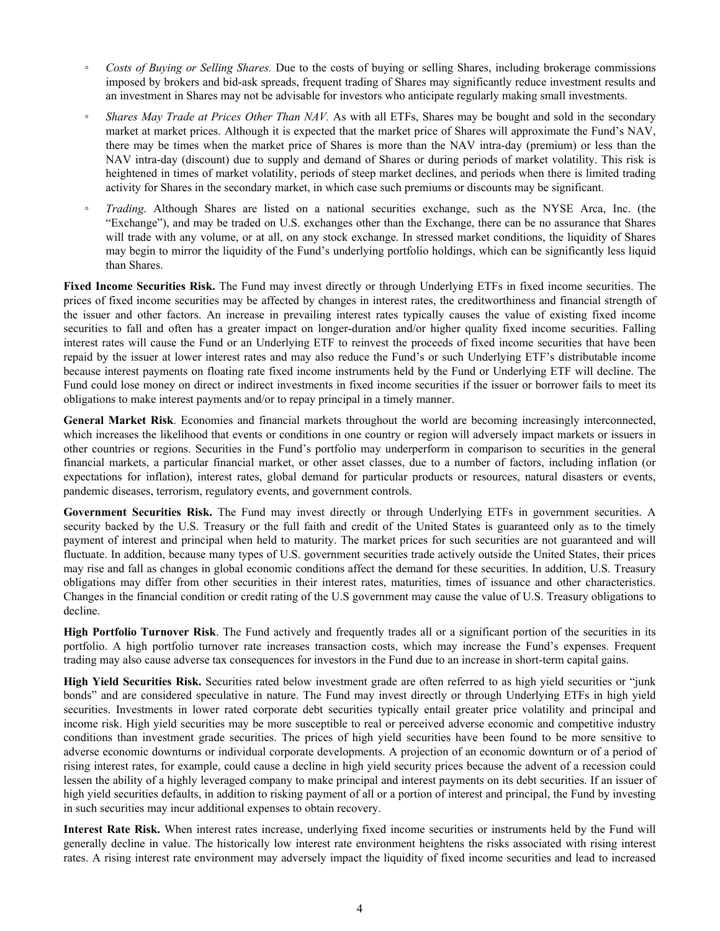- *◦ Costs of Buying or Selling Shares.* Due to the costs of buying or selling Shares, including brokerage commissions imposed by brokers and bid-ask spreads, frequent trading of Shares may significantly reduce investment results and an investment in Shares may not be advisable for investors who anticipate regularly making small investments.
- *Shares May Trade at Prices Other Than NAV.* As with all ETFs, Shares may be bought and sold in the secondary market at market prices. Although it is expected that the market price of Shares will approximate the Fund's NAV, there may be times when the market price of Shares is more than the NAV intra-day (premium) or less than the NAV intra-day (discount) due to supply and demand of Shares or during periods of market volatility. This risk is heightened in times of market volatility, periods of steep market declines, and periods when there is limited trading activity for Shares in the secondary market, in which case such premiums or discounts may be significant.
- *Trading*. Although Shares are listed on a national securities exchange, such as the NYSE Arca, Inc. (the "Exchange"), and may be traded on U.S. exchanges other than the Exchange, there can be no assurance that Shares will trade with any volume, or at all, on any stock exchange. In stressed market conditions, the liquidity of Shares may begin to mirror the liquidity of the Fund's underlying portfolio holdings, which can be significantly less liquid than Shares.

**Fixed Income Securities Risk.** The Fund may invest directly or through Underlying ETFs in fixed income securities. The prices of fixed income securities may be affected by changes in interest rates, the creditworthiness and financial strength of the issuer and other factors. An increase in prevailing interest rates typically causes the value of existing fixed income securities to fall and often has a greater impact on longer-duration and/or higher quality fixed income securities. Falling interest rates will cause the Fund or an Underlying ETF to reinvest the proceeds of fixed income securities that have been repaid by the issuer at lower interest rates and may also reduce the Fund's or such Underlying ETF's distributable income because interest payments on floating rate fixed income instruments held by the Fund or Underlying ETF will decline. The Fund could lose money on direct or indirect investments in fixed income securities if the issuer or borrower fails to meet its obligations to make interest payments and/or to repay principal in a timely manner.

**General Market Risk**. Economies and financial markets throughout the world are becoming increasingly interconnected, which increases the likelihood that events or conditions in one country or region will adversely impact markets or issuers in other countries or regions. Securities in the Fund's portfolio may underperform in comparison to securities in the general financial markets, a particular financial market, or other asset classes, due to a number of factors, including inflation (or expectations for inflation), interest rates, global demand for particular products or resources, natural disasters or events, pandemic diseases, terrorism, regulatory events, and government controls.

**Government Securities Risk.** The Fund may invest directly or through Underlying ETFs in government securities. A security backed by the U.S. Treasury or the full faith and credit of the United States is guaranteed only as to the timely payment of interest and principal when held to maturity. The market prices for such securities are not guaranteed and will fluctuate. In addition, because many types of U.S. government securities trade actively outside the United States, their prices may rise and fall as changes in global economic conditions affect the demand for these securities. In addition, U.S. Treasury obligations may differ from other securities in their interest rates, maturities, times of issuance and other characteristics. Changes in the financial condition or credit rating of the U.S government may cause the value of U.S. Treasury obligations to decline.

**High Portfolio Turnover Risk**. The Fund actively and frequently trades all or a significant portion of the securities in its portfolio. A high portfolio turnover rate increases transaction costs, which may increase the Fund's expenses. Frequent trading may also cause adverse tax consequences for investors in the Fund due to an increase in short-term capital gains.

**High Yield Securities Risk.** Securities rated below investment grade are often referred to as high yield securities or "junk bonds" and are considered speculative in nature. The Fund may invest directly or through Underlying ETFs in high yield securities. Investments in lower rated corporate debt securities typically entail greater price volatility and principal and income risk. High yield securities may be more susceptible to real or perceived adverse economic and competitive industry conditions than investment grade securities. The prices of high yield securities have been found to be more sensitive to adverse economic downturns or individual corporate developments. A projection of an economic downturn or of a period of rising interest rates, for example, could cause a decline in high yield security prices because the advent of a recession could lessen the ability of a highly leveraged company to make principal and interest payments on its debt securities. If an issuer of high yield securities defaults, in addition to risking payment of all or a portion of interest and principal, the Fund by investing in such securities may incur additional expenses to obtain recovery.

**Interest Rate Risk.** When interest rates increase, underlying fixed income securities or instruments held by the Fund will generally decline in value. The historically low interest rate environment heightens the risks associated with rising interest rates. A rising interest rate environment may adversely impact the liquidity of fixed income securities and lead to increased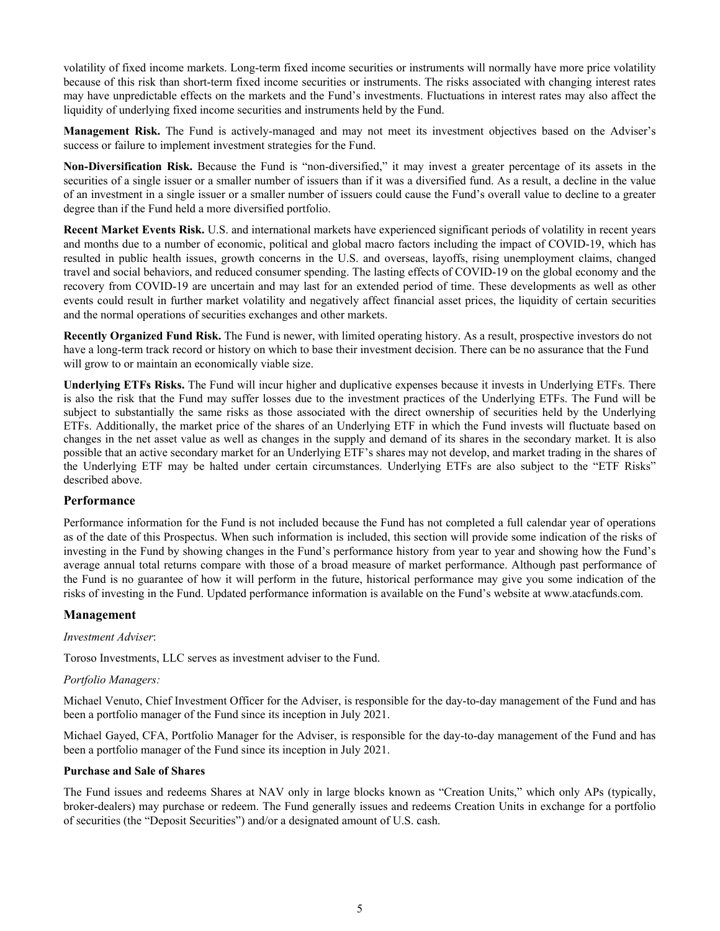volatility of fixed income markets. Long-term fixed income securities or instruments will normally have more price volatility because of this risk than short-term fixed income securities or instruments. The risks associated with changing interest rates may have unpredictable effects on the markets and the Fund's investments. Fluctuations in interest rates may also affect the liquidity of underlying fixed income securities and instruments held by the Fund.

**Management Risk.** The Fund is actively-managed and may not meet its investment objectives based on the Adviser's success or failure to implement investment strategies for the Fund.

**Non-Diversification Risk.** Because the Fund is "non-diversified," it may invest a greater percentage of its assets in the securities of a single issuer or a smaller number of issuers than if it was a diversified fund. As a result, a decline in the value of an investment in a single issuer or a smaller number of issuers could cause the Fund's overall value to decline to a greater degree than if the Fund held a more diversified portfolio.

**Recent Market Events Risk.** U.S. and international markets have experienced significant periods of volatility in recent years and months due to a number of economic, political and global macro factors including the impact of COVID-19, which has resulted in public health issues, growth concerns in the U.S. and overseas, layoffs, rising unemployment claims, changed travel and social behaviors, and reduced consumer spending. The lasting effects of COVID-19 on the global economy and the recovery from COVID-19 are uncertain and may last for an extended period of time. These developments as well as other events could result in further market volatility and negatively affect financial asset prices, the liquidity of certain securities and the normal operations of securities exchanges and other markets.

**Recently Organized Fund Risk.** The Fund is newer, with limited operating history. As a result, prospective investors do not have a long-term track record or history on which to base their investment decision. There can be no assurance that the Fund will grow to or maintain an economically viable size.

**Underlying ETFs Risks.** The Fund will incur higher and duplicative expenses because it invests in Underlying ETFs. There is also the risk that the Fund may suffer losses due to the investment practices of the Underlying ETFs. The Fund will be subject to substantially the same risks as those associated with the direct ownership of securities held by the Underlying ETFs. Additionally, the market price of the shares of an Underlying ETF in which the Fund invests will fluctuate based on changes in the net asset value as well as changes in the supply and demand of its shares in the secondary market. It is also possible that an active secondary market for an Underlying ETF's shares may not develop, and market trading in the shares of the Underlying ETF may be halted under certain circumstances. Underlying ETFs are also subject to the "ETF Risks" described above.

## **Performance**

Performance information for the Fund is not included because the Fund has not completed a full calendar year of operations as of the date of this Prospectus. When such information is included, this section will provide some indication of the risks of investing in the Fund by showing changes in the Fund's performance history from year to year and showing how the Fund's average annual total returns compare with those of a broad measure of market performance. Although past performance of the Fund is no guarantee of how it will perform in the future, historical performance may give you some indication of the risks of investing in the Fund. Updated performance information is available on the Fund's website at www.atacfunds.com.

## **Management**

## *Investment Adviser*:

Toroso Investments, LLC serves as investment adviser to the Fund.

#### *Portfolio Managers:*

Michael Venuto, Chief Investment Officer for the Adviser, is responsible for the day-to-day management of the Fund and has been a portfolio manager of the Fund since its inception in July 2021.

Michael Gayed, CFA, Portfolio Manager for the Adviser, is responsible for the day-to-day management of the Fund and has been a portfolio manager of the Fund since its inception in July 2021.

#### **Purchase and Sale of Shares**

The Fund issues and redeems Shares at NAV only in large blocks known as "Creation Units," which only APs (typically, broker-dealers) may purchase or redeem. The Fund generally issues and redeems Creation Units in exchange for a portfolio of securities (the "Deposit Securities") and/or a designated amount of U.S. cash.